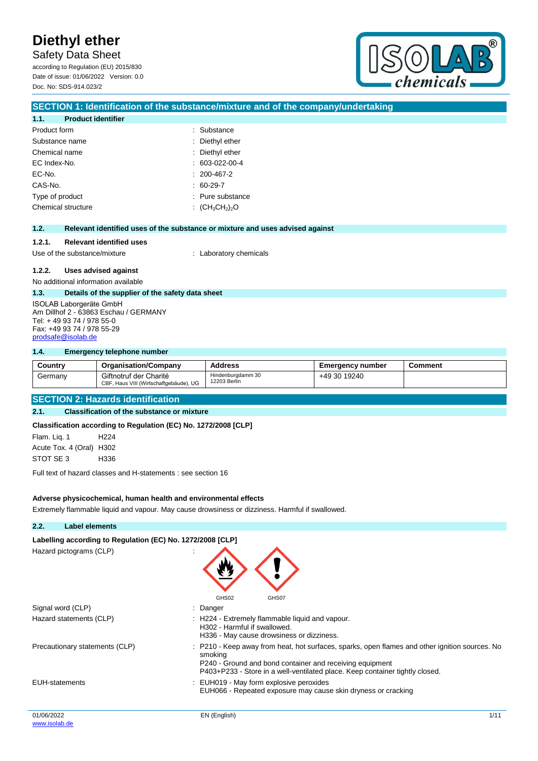Safety Data Sheet

according to Regulation (EU) 2015/830 Date of issue: 01/06/2022 Version: 0.0 Doc. No: SDS-914.023/2



## **1.1. Product identifier** Product form **: Substance** : Substance Substance name  $\qquad \qquad$ : Diethyl ether Chemical name : Diethyl ether EC Index-No. : 603-022-00-4 EC-No. : 200-467-2 CAS-No. : 60-29-7 Type of product in the substance in the substance in the substance in the substance Chemical structure : (CH<sub>3</sub>CH<sub>2</sub>)<sub>2</sub>O **1.2. Relevant identified uses of the substance or mixture and uses advised against 1.2.1. Relevant identified uses** Use of the substance/mixture : Laboratory chemicals **1.2.2. Uses advised against** No additional information available **1.3. Details of the supplier of the safety data sheet** ISOLAB Laborgeräte GmbH Am Dillhof 2 - 63863 Eschau / GERMANY Tel: + 49 93 74 / 978 55-0 Fax: +49 93 74 / 978 55-29 [prodsafe@isolab.de](mailto:prodsafe@isolab.de) **1.4. Emergency telephone number Country Organisation/Company Address Emergency number Comment**

**SECTION 1: Identification of the substance/mixture and of the company/undertaking**

|                                          | <b>UUUIIU</b> V | <b>UI YAHIISAHUI II CUIHDAHY</b>                                 | Auuress                           | <b>ETTER JETTLY TRITING!</b> | <b>UUIIIIIEIIL</b> |  |
|------------------------------------------|-----------------|------------------------------------------------------------------|-----------------------------------|------------------------------|--------------------|--|
|                                          | Germanv         | Giftnotruf der Charité<br>CBF, Haus VIII (Wirtschaftgebäude), UG | Hindenburgdamm 30<br>12203 Berlin | +49 30 19240                 |                    |  |
|                                          |                 |                                                                  |                                   |                              |                    |  |
| <b>SECTION 2: Hazards identification</b> |                 |                                                                  |                                   |                              |                    |  |

#### **2.1. Classification of the substance or mixture**

**Classification according to Regulation (EC) No. 1272/2008 [CLP]**

Flam. Liq. 1 H224 Acute Tox. 4 (Oral) H302 STOT SE 3 H336

Full text of hazard classes and H-statements : see section 16

#### **Adverse physicochemical, human health and environmental effects**

Extremely flammable liquid and vapour. May cause drowsiness or dizziness. Harmful if swallowed.

## 01/06/2022 EN (English) 1/11 **2.2. Label elements** Labelling according to Regulation (EC) No. 1272/2008 [CLP] Hazard pictograms (CLP) : GHS02 GHS07 Signal word (CLP) : Danger Hazard statements (CLP)  $\qquad \qquad$ : H224 - Extremely flammable liquid and vapour. H302 - Harmful if swallowed. H336 - May cause drowsiness or dizziness. Precautionary statements (CLP) : P210 - Keep away from heat, hot surfaces, sparks, open flames and other ignition sources. No smoking P240 - Ground and bond container and receiving equipment P403+P233 - Store in a well-ventilated place. Keep container tightly closed. EUH-statements : EUH019 - May form explosive peroxides EUH066 - Repeated exposure may cause skin dryness or cracking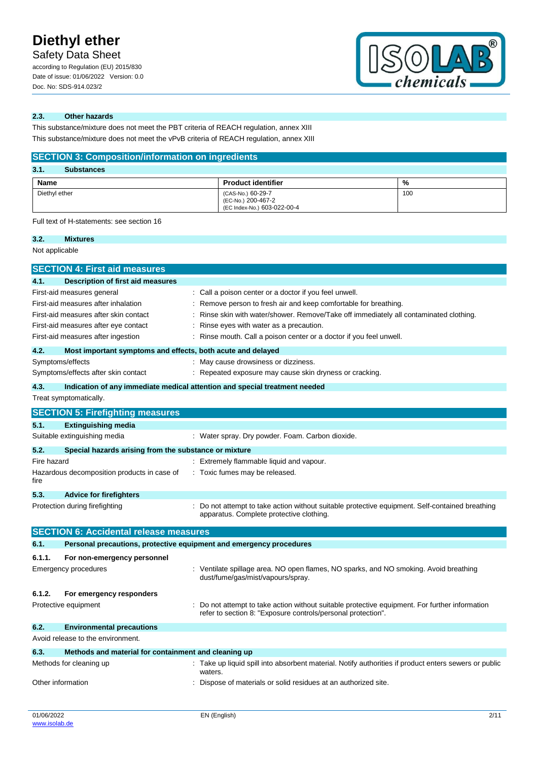Safety Data Sheet

according to Regulation (EU) 2015/830 Date of issue: 01/06/2022 Version: 0.0 Doc. No: SDS-914.023/2



### **2.3. Other hazards**

This substance/mixture does not meet the PBT criteria of REACH regulation, annex XIII This substance/mixture does not meet the vPvB criteria of REACH regulation, annex XIII

## **SECTION 3: Composition/information on ingredients**

| 3.1.<br><b>Substances</b> |                                                                        |     |
|---------------------------|------------------------------------------------------------------------|-----|
| Name                      | <b>Product identifier</b>                                              | %   |
| Diethyl ether             | (CAS-No.) 60-29-7<br>(EC-No.) 200-467-2<br>(EC Index-No.) 603-022-00-4 | 100 |

Full text of H-statements: see section 16

### **3.2. Mixtures**

Not applicable

| <b>SECTION 4: First aid measures</b>                                                                                                                                                     |                                                                     |                                                                                                                                                                                                                                                                                                                               |  |  |
|------------------------------------------------------------------------------------------------------------------------------------------------------------------------------------------|---------------------------------------------------------------------|-------------------------------------------------------------------------------------------------------------------------------------------------------------------------------------------------------------------------------------------------------------------------------------------------------------------------------|--|--|
| 4.1.                                                                                                                                                                                     | Description of first aid measures                                   |                                                                                                                                                                                                                                                                                                                               |  |  |
| First-aid measures general<br>First-aid measures after inhalation<br>First-aid measures after skin contact<br>First-aid measures after eye contact<br>First-aid measures after ingestion |                                                                     | Call a poison center or a doctor if you feel unwell.<br>Remove person to fresh air and keep comfortable for breathing.<br>Rinse skin with water/shower. Remove/Take off immediately all contaminated clothing.<br>Rinse eyes with water as a precaution.<br>Rinse mouth. Call a poison center or a doctor if you feel unwell. |  |  |
| 4.2.                                                                                                                                                                                     | Most important symptoms and effects, both acute and delayed         |                                                                                                                                                                                                                                                                                                                               |  |  |
| Symptoms/effects                                                                                                                                                                         | Symptoms/effects after skin contact                                 | May cause drowsiness or dizziness.<br>Repeated exposure may cause skin dryness or cracking.                                                                                                                                                                                                                                   |  |  |
| 4.3.                                                                                                                                                                                     |                                                                     | Indication of any immediate medical attention and special treatment needed                                                                                                                                                                                                                                                    |  |  |
|                                                                                                                                                                                          | Treat symptomatically.                                              |                                                                                                                                                                                                                                                                                                                               |  |  |
|                                                                                                                                                                                          | <b>SECTION 5: Firefighting measures</b>                             |                                                                                                                                                                                                                                                                                                                               |  |  |
| 5.1.                                                                                                                                                                                     | <b>Extinguishing media</b>                                          |                                                                                                                                                                                                                                                                                                                               |  |  |
|                                                                                                                                                                                          | Suitable extinguishing media                                        | : Water spray. Dry powder. Foam. Carbon dioxide.                                                                                                                                                                                                                                                                              |  |  |
| 5.2.                                                                                                                                                                                     | Special hazards arising from the substance or mixture               |                                                                                                                                                                                                                                                                                                                               |  |  |
| Fire hazard                                                                                                                                                                              |                                                                     | : Extremely flammable liquid and vapour.                                                                                                                                                                                                                                                                                      |  |  |
| fire                                                                                                                                                                                     | Hazardous decomposition products in case of                         | : Toxic fumes may be released.                                                                                                                                                                                                                                                                                                |  |  |
| 5.3.                                                                                                                                                                                     | <b>Advice for firefighters</b>                                      |                                                                                                                                                                                                                                                                                                                               |  |  |
|                                                                                                                                                                                          | Protection during firefighting                                      | Do not attempt to take action without suitable protective equipment. Self-contained breathing<br>apparatus. Complete protective clothing.                                                                                                                                                                                     |  |  |
|                                                                                                                                                                                          | <b>SECTION 6: Accidental release measures</b>                       |                                                                                                                                                                                                                                                                                                                               |  |  |
| 6.1.                                                                                                                                                                                     | Personal precautions, protective equipment and emergency procedures |                                                                                                                                                                                                                                                                                                                               |  |  |
| 6.1.1.                                                                                                                                                                                   | For non-emergency personnel                                         |                                                                                                                                                                                                                                                                                                                               |  |  |
|                                                                                                                                                                                          | <b>Emergency procedures</b>                                         | : Ventilate spillage area. NO open flames, NO sparks, and NO smoking. Avoid breathing<br>dust/fume/gas/mist/vapours/spray.                                                                                                                                                                                                    |  |  |
| 6.1.2.                                                                                                                                                                                   | For emergency responders                                            |                                                                                                                                                                                                                                                                                                                               |  |  |
|                                                                                                                                                                                          | Protective equipment                                                | Do not attempt to take action without suitable protective equipment. For further information<br>refer to section 8: "Exposure controls/personal protection".                                                                                                                                                                  |  |  |
| 6.2.                                                                                                                                                                                     | <b>Environmental precautions</b>                                    |                                                                                                                                                                                                                                                                                                                               |  |  |
|                                                                                                                                                                                          | Avoid release to the environment.                                   |                                                                                                                                                                                                                                                                                                                               |  |  |
| 6.3.                                                                                                                                                                                     | Methods and material for containment and cleaning up                |                                                                                                                                                                                                                                                                                                                               |  |  |
|                                                                                                                                                                                          | Methods for cleaning up                                             | Take up liquid spill into absorbent material. Notify authorities if product enters sewers or public<br>waters.                                                                                                                                                                                                                |  |  |
| Other information                                                                                                                                                                        |                                                                     | Dispose of materials or solid residues at an authorized site.                                                                                                                                                                                                                                                                 |  |  |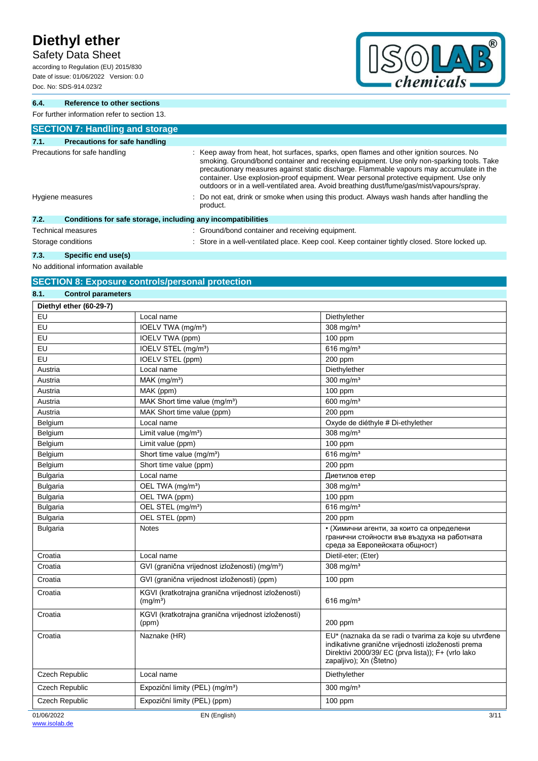Safety Data Sheet

according to Regulation (EU) 2015/830 Date of issue: 01/06/2022 Version: 0.0 Doc. No: SDS-914.023/2



**6.4. Reference to other sections**

For further information refer to section 13.

| <b>SECTION 7: Handling and storage</b>                               |                                                                                                                                                                                                                                                                                                                                                                                                                                                                        |
|----------------------------------------------------------------------|------------------------------------------------------------------------------------------------------------------------------------------------------------------------------------------------------------------------------------------------------------------------------------------------------------------------------------------------------------------------------------------------------------------------------------------------------------------------|
| 7.1.<br><b>Precautions for safe handling</b>                         |                                                                                                                                                                                                                                                                                                                                                                                                                                                                        |
| Precautions for safe handling                                        | : Keep away from heat, hot surfaces, sparks, open flames and other ignition sources. No<br>smoking. Ground/bond container and receiving equipment. Use only non-sparking tools. Take<br>precautionary measures against static discharge. Flammable vapours may accumulate in the<br>container. Use explosion-proof equipment. Wear personal protective equipment. Use only<br>outdoors or in a well-ventilated area. Avoid breathing dust/fume/gas/mist/vapours/spray. |
| Hygiene measures                                                     | : Do not eat, drink or smoke when using this product. Always wash hands after handling the<br>product.                                                                                                                                                                                                                                                                                                                                                                 |
| 7.2.<br>Conditions for safe storage, including any incompatibilities |                                                                                                                                                                                                                                                                                                                                                                                                                                                                        |
| <b>Technical measures</b>                                            | : Ground/bond container and receiving equipment.                                                                                                                                                                                                                                                                                                                                                                                                                       |
| Storage conditions                                                   | : Store in a well-ventilated place. Keep cool. Keep container tightly closed. Store locked up.                                                                                                                                                                                                                                                                                                                                                                         |

**7.3. Specific end use(s)**

No additional information available

## **SECTION 8: Exposure controls/personal protection**

| 8.1.            | <b>Control parameters</b> |                                                                             |                                                                                                                                                                                              |
|-----------------|---------------------------|-----------------------------------------------------------------------------|----------------------------------------------------------------------------------------------------------------------------------------------------------------------------------------------|
|                 | Diethyl ether (60-29-7)   |                                                                             |                                                                                                                                                                                              |
| EU              |                           | Local name                                                                  | Diethylether                                                                                                                                                                                 |
| EU              |                           | IOELV TWA (mg/m <sup>3</sup> )                                              | $308$ mg/m <sup>3</sup>                                                                                                                                                                      |
| EU              |                           | <b>IOELV TWA (ppm)</b>                                                      | 100 ppm                                                                                                                                                                                      |
| EU              |                           | IOELV STEL (mg/m <sup>3</sup> )                                             | 616 mg/m <sup>3</sup>                                                                                                                                                                        |
| EU              |                           | IOELV STEL (ppm)                                                            | 200 ppm                                                                                                                                                                                      |
| Austria         |                           | Local name                                                                  | Diethylether                                                                                                                                                                                 |
| Austria         |                           | MAK (mg/m <sup>3</sup> )                                                    | 300 mg/ $m3$                                                                                                                                                                                 |
| Austria         |                           | MAK (ppm)                                                                   | 100 ppm                                                                                                                                                                                      |
| Austria         |                           | MAK Short time value (mg/m <sup>3</sup> )                                   | 600 mg/m <sup>3</sup>                                                                                                                                                                        |
| Austria         |                           | MAK Short time value (ppm)                                                  | 200 ppm                                                                                                                                                                                      |
| Belgium         |                           | Local name                                                                  | Oxyde de diéthyle # Di-ethylether                                                                                                                                                            |
| Belgium         |                           | Limit value $(mg/m3)$                                                       | 308 mg/ $m3$                                                                                                                                                                                 |
| Belgium         |                           | Limit value (ppm)                                                           | $100$ ppm                                                                                                                                                                                    |
| Belgium         |                           | Short time value (mg/m <sup>3</sup> )                                       | 616 mg/m $3$                                                                                                                                                                                 |
| Belgium         |                           | Short time value (ppm)                                                      | 200 ppm                                                                                                                                                                                      |
| <b>Bulgaria</b> |                           | Local name                                                                  | Диетилов етер                                                                                                                                                                                |
| <b>Bulgaria</b> |                           | OEL TWA (mg/m <sup>3</sup> )                                                | 308 mg/ $m3$                                                                                                                                                                                 |
| <b>Bulgaria</b> |                           | OEL TWA (ppm)                                                               | $100$ ppm                                                                                                                                                                                    |
| <b>Bulgaria</b> |                           | OEL STEL (mg/m <sup>3</sup> )                                               | $616$ mg/m <sup>3</sup>                                                                                                                                                                      |
| <b>Bulgaria</b> |                           | OEL STEL (ppm)                                                              | 200 ppm                                                                                                                                                                                      |
| <b>Bulgaria</b> |                           | <b>Notes</b>                                                                | • (Химични агенти, за които са определени<br>гранични стойности във въздуха на работната<br>среда за Европейската общност)                                                                   |
| Croatia         |                           | Local name                                                                  | Dietil-eter; (Eter)                                                                                                                                                                          |
| Croatia         |                           | GVI (granična vrijednost izloženosti) (mg/m <sup>3</sup> )                  | 308 mg/ $m3$                                                                                                                                                                                 |
| Croatia         |                           | GVI (granična vrijednost izloženosti) (ppm)                                 | $100$ ppm                                                                                                                                                                                    |
| Croatia         |                           | KGVI (kratkotrajna granična vrijednost izloženosti)<br>(mg/m <sup>3</sup> ) | 616 mg/m <sup>3</sup>                                                                                                                                                                        |
| Croatia         |                           | KGVI (kratkotrajna granična vrijednost izloženosti)<br>(ppm)                | 200 ppm                                                                                                                                                                                      |
| Croatia         |                           | Naznake (HR)                                                                | EU* (naznaka da se radi o tvarima za koje su utvrđene<br>indikativne granične vrijednosti izloženosti prema<br>Direktivi 2000/39/ EC (prva lista)); F+ (vrlo lako<br>zapaljivo); Xn (Štetno) |
|                 | Czech Republic            | Local name                                                                  | Diethylether                                                                                                                                                                                 |
|                 | Czech Republic            | Expoziční limity (PEL) (mg/m <sup>3</sup> )                                 | 300 mg/m <sup>3</sup>                                                                                                                                                                        |
|                 | Czech Republic            | Expoziční limity (PEL) (ppm)                                                | 100 ppm                                                                                                                                                                                      |
| 01/06/2022      |                           | EN (English)                                                                | 3/11                                                                                                                                                                                         |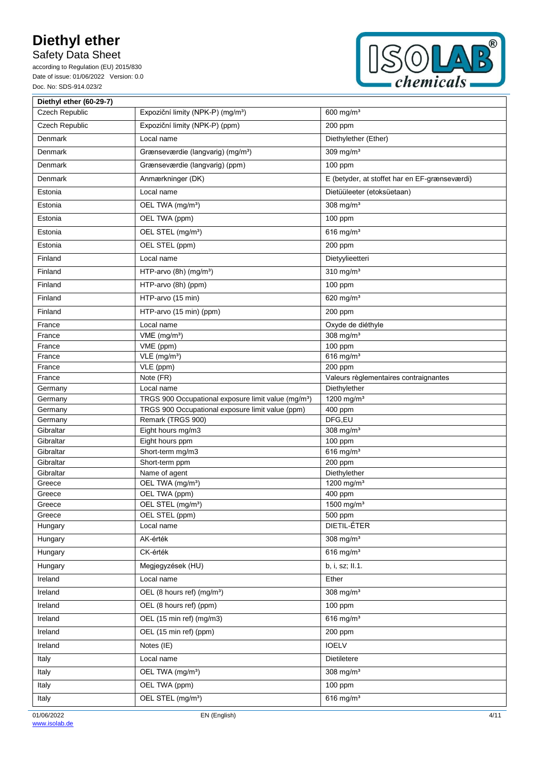## Safety Data Sheet

according to Regulation (EU) 2015/830 Date of issue: 01/06/2022 Version: 0.0 Doc. No: SDS-914.023/2



| Diethyl ether (60-29-7) |                                                                 |                                               |
|-------------------------|-----------------------------------------------------------------|-----------------------------------------------|
| Czech Republic          | Expoziční limity (NPK-P) (mg/m <sup>3</sup> )                   | 600 mg/ $m3$                                  |
| Czech Republic          | Expoziční limity (NPK-P) (ppm)                                  | 200 ppm                                       |
| Denmark                 | Local name                                                      | Diethylether (Ether)                          |
| Denmark                 | Grænseværdie (langvarig) (mg/m <sup>3</sup> )                   | 309 mg/m <sup>3</sup>                         |
| Denmark                 | Grænseværdie (langvarig) (ppm)                                  | 100 ppm                                       |
| Denmark                 | Anmærkninger (DK)                                               | E (betyder, at stoffet har en EF-grænseværdi) |
| Estonia                 | Local name                                                      | Dietüüleeter (etoksüetaan)                    |
| Estonia                 | OEL TWA (mg/m <sup>3</sup> )                                    | 308 mg/ $m3$                                  |
| Estonia                 | OEL TWA (ppm)                                                   | 100 ppm                                       |
| Estonia                 | OEL STEL (mg/m <sup>3</sup> )                                   | 616 mg/m <sup>3</sup>                         |
| Estonia                 | OEL STEL (ppm)                                                  | 200 ppm                                       |
| Finland                 | Local name                                                      | Dietyylieetteri                               |
| Finland                 | HTP-arvo (8h) (mg/m <sup>3</sup> )                              | 310 mg/ $m3$                                  |
| Finland                 | HTP-arvo (8h) (ppm)                                             | 100 ppm                                       |
| Finland                 | HTP-arvo (15 min)                                               | 620 mg/m $3$                                  |
| Finland                 | HTP-arvo (15 min) (ppm)                                         | 200 ppm                                       |
| France                  | Local name                                                      | Oxyde de diéthyle                             |
| France                  | VME (mg/m <sup>3</sup> )                                        | 308 mg/m <sup>3</sup>                         |
| France                  | VME (ppm)                                                       | 100 ppm                                       |
| France                  | VLE (mg/m <sup>3</sup> )                                        | $616$ mg/m <sup>3</sup>                       |
| France                  | VLE (ppm)                                                       | 200 ppm                                       |
| France                  | Note (FR)                                                       | Valeurs règlementaires contraignantes         |
| Germany                 | Local name                                                      | Diethylether                                  |
| Germany                 | TRGS 900 Occupational exposure limit value (mg/m <sup>3</sup> ) | 1200 mg/m <sup>3</sup>                        |
| Germany                 | TRGS 900 Occupational exposure limit value (ppm)                | 400 ppm                                       |
| Germany                 | Remark (TRGS 900)                                               | DFG,EU                                        |
| Gibraltar               | Eight hours mg/m3                                               | 308 mg/m <sup>3</sup>                         |
| Gibraltar               | Eight hours ppm                                                 | 100 ppm                                       |
| Gibraltar               | Short-term mg/m3                                                | 616 $mg/m3$                                   |
| Gibraltar               | Short-term ppm                                                  | 200 ppm                                       |
| Gibraltar               | Name of agent                                                   | Diethylether                                  |
| Greece                  | OEL TWA (mg/m <sup>3</sup> )                                    | 1200 mg/m <sup>3</sup>                        |
| Greece                  | OEL TWA (ppm)                                                   | 400 ppm                                       |
| Greece                  | OEL STEL (mg/m <sup>3</sup> )                                   | 1500 mg/m <sup>3</sup>                        |
| Greece<br>Hungary       | OEL STEL (ppm)<br>Local name                                    | 500 ppm<br>DIETIL-ÉTER                        |
|                         |                                                                 |                                               |
| Hungary                 | AK-érték                                                        | 308 mg/m <sup>3</sup>                         |
| Hungary                 | CK-érték                                                        | 616 mg/m $3$                                  |
| Hungary                 | Megjegyzések (HU)                                               | b, i, sz; II.1.                               |
| Ireland                 | Local name                                                      | Ether                                         |
| Ireland                 | OEL (8 hours ref) (mg/m <sup>3</sup> )                          | 308 mg/m <sup>3</sup>                         |
| Ireland                 | OEL (8 hours ref) (ppm)                                         | 100 ppm                                       |
| Ireland                 | OEL (15 min ref) (mg/m3)                                        | 616 mg/m $3$                                  |
| Ireland                 | OEL (15 min ref) (ppm)                                          | 200 ppm                                       |
| Ireland                 | Notes (IE)                                                      | <b>IOELV</b>                                  |
| Italy                   | Local name                                                      | Dietiletere                                   |
| Italy                   | OEL TWA (mg/m <sup>3</sup> )                                    | 308 mg/m <sup>3</sup>                         |
| Italy                   | OEL TWA (ppm)                                                   | 100 ppm                                       |
| Italy                   | OEL STEL (mg/m <sup>3</sup> )                                   | 616 mg/m $3$                                  |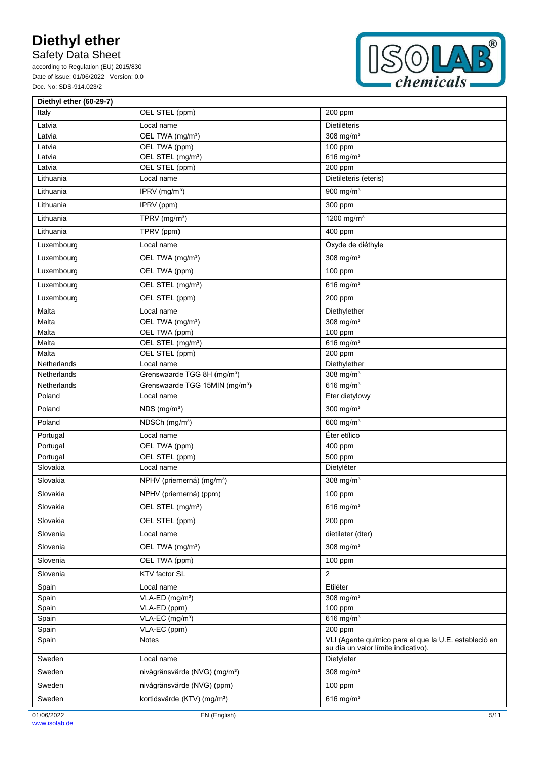Safety Data Sheet

according to Regulation (EU) 2015/830 Date of issue: 01/06/2022 Version: 0.0 Doc. No: SDS-914.023/2



| Diethyl ether (60-29-7) |                                            |                                                                                              |
|-------------------------|--------------------------------------------|----------------------------------------------------------------------------------------------|
| Italy                   | OEL STEL (ppm)                             | 200 ppm                                                                                      |
| Latvia                  | Local name                                 | Dietilēteris                                                                                 |
| Latvia                  | OEL TWA (mg/m <sup>3</sup> )               | 308 mg/ $m3$                                                                                 |
| Latvia                  | OEL TWA (ppm)                              | 100 ppm                                                                                      |
| Latvia                  | OEL STEL (mg/m <sup>3</sup> )              | 616 mg/m $3$                                                                                 |
| Latvia                  | OEL STEL (ppm)                             | 200 ppm                                                                                      |
| Lithuania               | Local name                                 | Dietileteris (eteris)                                                                        |
| Lithuania               | IPRV (mg/m <sup>3</sup> )                  | 900 mg/m $3$                                                                                 |
| Lithuania               | IPRV (ppm)                                 | 300 ppm                                                                                      |
| Lithuania               | TPRV (mg/m <sup>3</sup> )                  | 1200 mg/m <sup>3</sup>                                                                       |
| Lithuania               | TPRV (ppm)                                 | 400 ppm                                                                                      |
| Luxembourg              | Local name                                 | Oxyde de diéthyle                                                                            |
| Luxembourg              | OEL TWA (mg/m <sup>3</sup> )               | 308 mg/m <sup>3</sup>                                                                        |
| Luxembourg              | OEL TWA (ppm)                              | 100 ppm                                                                                      |
| Luxembourg              | OEL STEL (mg/m <sup>3</sup> )              | 616 mg/m $3$                                                                                 |
| Luxembourg              | OEL STEL (ppm)                             | 200 ppm                                                                                      |
| Malta                   | Local name                                 | Diethylether                                                                                 |
| Malta                   | OEL TWA (mg/m <sup>3</sup> )               | 308 mg/m <sup>3</sup>                                                                        |
| Malta                   | OEL TWA (ppm)                              | 100 ppm                                                                                      |
| Malta                   | OEL STEL (mg/m <sup>3</sup> )              | 616 mg/m $3$                                                                                 |
| Malta                   | OEL STEL (ppm)                             | 200 ppm                                                                                      |
| Netherlands             | Local name                                 | Diethylether                                                                                 |
| Netherlands             | Grenswaarde TGG 8H (mg/m <sup>3</sup> )    | 308 mg/ $m3$                                                                                 |
| Netherlands             | Grenswaarde TGG 15MIN (mg/m <sup>3</sup> ) | 616 mg/ $m3$                                                                                 |
| Poland                  | Local name                                 | Eter dietylowy                                                                               |
| Poland                  | $NDS$ (mg/m <sup>3</sup> )                 | 300 mg/m <sup>3</sup>                                                                        |
| Poland                  | NDSCh (mg/m <sup>3</sup> )                 | 600 mg/m <sup>3</sup>                                                                        |
| Portugal                | Local name                                 | Éter etílico                                                                                 |
| Portugal                | OEL TWA (ppm)                              | 400 ppm                                                                                      |
| Portugal                | OEL STEL (ppm)                             | 500 ppm                                                                                      |
| Slovakia                | Local name                                 | Dietyléter                                                                                   |
| Slovakia                | NPHV (priemerná) (mg/m <sup>3</sup> )      | 308 mg/ $m3$                                                                                 |
| Slovakia                | NPHV (priemerná) (ppm)                     | 100 ppm                                                                                      |
| Slovakia                | OEL STEL (mg/m <sup>3</sup> )              | $616$ mg/m <sup>3</sup>                                                                      |
| Slovakia                | OEL STEL (ppm)                             | 200 ppm                                                                                      |
| Slovenia                | Local name                                 | dietileter (dter)                                                                            |
| Slovenia                | OEL TWA (mg/m <sup>3</sup> )               | 308 mg/m $3$                                                                                 |
| Slovenia                | OEL TWA (ppm)                              | 100 ppm                                                                                      |
| Slovenia                | KTV factor SL                              | 2                                                                                            |
| Spain                   | Local name                                 | Etiléter                                                                                     |
| Spain                   | VLA-ED (mg/m <sup>3</sup> )                | 308 mg/ $m3$                                                                                 |
| Spain                   | VLA-ED (ppm)                               | $100$ ppm                                                                                    |
| Spain                   | VLA-EC (mg/m <sup>3</sup> )                | 616 mg/m $3$                                                                                 |
| Spain                   | VLA-EC (ppm)                               | 200 ppm                                                                                      |
| Spain                   | Notes                                      | VLI (Agente químico para el que la U.E. estableció en<br>su día un valor límite indicativo). |
| Sweden                  | Local name                                 | Dietyleter                                                                                   |
| Sweden                  | nivågränsvärde (NVG) (mg/m <sup>3</sup> )  | 308 mg/m $3$                                                                                 |
| Sweden                  | nivågränsvärde (NVG) (ppm)                 | 100 ppm                                                                                      |
| Sweden                  | kortidsvärde (KTV) (mg/m <sup>3</sup> )    | $616$ mg/m <sup>3</sup>                                                                      |
| 01/06/2022              | EN (English)                               | 5/11                                                                                         |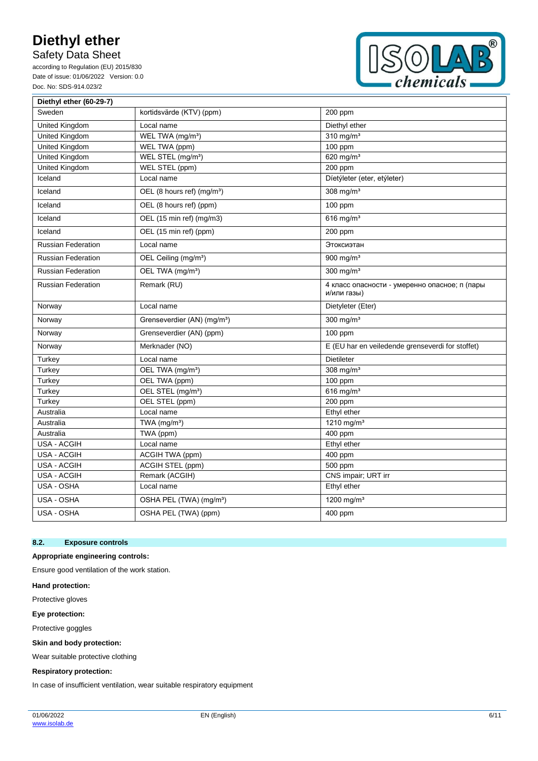Safety Data Sheet

according to Regulation (EU) 2015/830 Date of issue: 01/06/2022 Version: 0.0 Doc. No: SDS-914.023/2



| Diethyl ether (60-29-7)   |                                         |                                                              |
|---------------------------|-----------------------------------------|--------------------------------------------------------------|
| Sweden                    | kortidsvärde (KTV) (ppm)                | 200 ppm                                                      |
| United Kingdom            | Local name                              | Diethyl ether                                                |
| United Kingdom            | WEL TWA (mg/m <sup>3</sup> )            | 310 mg/ $m3$                                                 |
| United Kingdom            | WEL TWA (ppm)                           | 100 ppm                                                      |
| United Kingdom            | WEL STEL (mg/m <sup>3</sup> )           | 620 mg/m <sup>3</sup>                                        |
| United Kingdom            | WEL STEL (ppm)                          | 200 ppm                                                      |
| Iceland                   | Local name                              | Díetýleter (eter, etýleter)                                  |
| Iceland                   | OEL (8 hours ref) (mg/m <sup>3</sup> )  | 308 mg/ $m3$                                                 |
| Iceland                   | OEL (8 hours ref) (ppm)                 | 100 ppm                                                      |
| Iceland                   | OEL (15 min ref) (mg/m3)                | $616$ mg/m <sup>3</sup>                                      |
| Iceland                   | OEL (15 min ref) (ppm)                  | 200 ppm                                                      |
| <b>Russian Federation</b> | Local name                              | Этоксиэтан                                                   |
| <b>Russian Federation</b> | OEL Ceiling (mg/m <sup>3</sup> )        | 900 mg/ $m3$                                                 |
| <b>Russian Federation</b> | OEL TWA (mg/m <sup>3</sup> )            | $300$ mg/m <sup>3</sup>                                      |
| <b>Russian Federation</b> | Remark (RU)                             | 4 класс опасности - умеренно опасное; п (пары<br>и/или газы) |
| Norway                    | Local name                              | Dietyleter (Eter)                                            |
| Norway                    | Grenseverdier (AN) (mg/m <sup>3</sup> ) | 300 mg/ $m3$                                                 |
| Norway                    | Grenseverdier (AN) (ppm)                | 100 ppm                                                      |
| Norway                    | Merknader (NO)                          | E (EU har en veiledende grenseverdi for stoffet)             |
| Turkey                    | Local name                              | <b>Dietileter</b>                                            |
| Turkey                    | OEL TWA (mg/m <sup>3</sup> )            | $308$ mg/m <sup>3</sup>                                      |
| Turkey                    | OEL TWA (ppm)                           | 100 ppm                                                      |
| Turkey                    | OEL STEL (mg/m <sup>3</sup> )           | 616 mg/m $3$                                                 |
| Turkey                    | OEL STEL (ppm)                          | 200 ppm                                                      |
| Australia                 | Local name                              | Ethyl ether                                                  |
| Australia                 | TWA (mg/m <sup>3</sup> )                | 1210 mg/m <sup>3</sup>                                       |
| Australia                 | TWA (ppm)                               | 400 ppm                                                      |
| <b>USA - ACGIH</b>        | Local name                              | Ethyl ether                                                  |
| USA - ACGIH               | ACGIH TWA (ppm)                         | 400 ppm                                                      |
| USA - ACGIH               | <b>ACGIH STEL (ppm)</b>                 | 500 ppm                                                      |
| <b>USA - ACGIH</b>        | Remark (ACGIH)                          | CNS impair; URT irr                                          |
| USA - OSHA                | Local name                              | Ethyl ether                                                  |
| USA - OSHA                | OSHA PEL (TWA) (mg/m <sup>3</sup> )     | 1200 mg/m $3$                                                |
| USA - OSHA                | OSHA PEL (TWA) (ppm)                    | 400 ppm                                                      |

#### **8.2. Exposure controls**

### **Appropriate engineering controls:**

Ensure good ventilation of the work station.

**Hand protection:**

Protective gloves

**Eye protection:**

Protective goggles

**Skin and body protection:**

Wear suitable protective clothing

#### **Respiratory protection:**

In case of insufficient ventilation, wear suitable respiratory equipment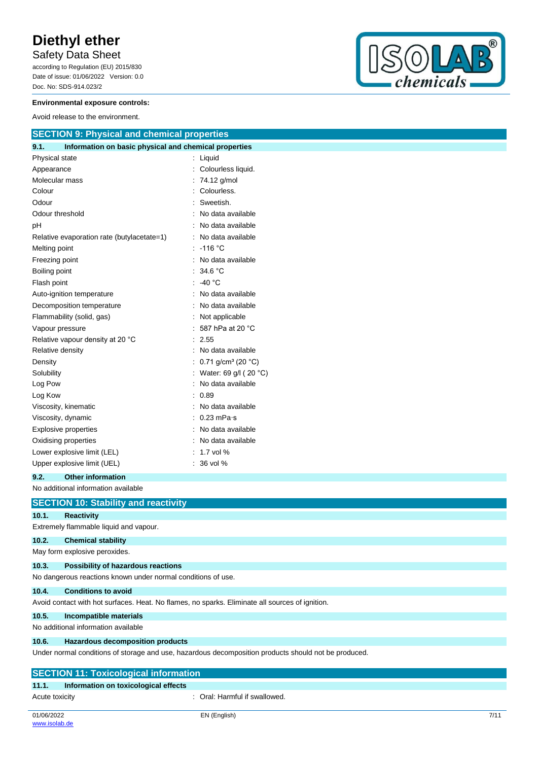## Safety Data Sheet

according to Regulation (EU) 2015/830 Date of issue: 01/06/2022 Version: 0.0 Doc. No: SDS-914.023/2



#### **Environmental exposure controls:**

Avoid release to the environment.

| <b>SECTION 9: Physical and chemical properties</b>            |   |                                          |
|---------------------------------------------------------------|---|------------------------------------------|
| Information on basic physical and chemical properties<br>9.1. |   |                                          |
| Physical state                                                |   | Liquid                                   |
| Appearance                                                    |   | Colourless liquid.                       |
| Molecular mass                                                |   | 74.12 g/mol                              |
| Colour                                                        |   | Colourless.                              |
| Odour                                                         |   | Sweetish.                                |
| Odour threshold                                               |   | No data available                        |
| рH                                                            |   | No data available                        |
| Relative evaporation rate (butylacetate=1)                    |   | No data available                        |
| Melting point                                                 |   | $-116$ °C                                |
| Freezing point                                                |   | No data available                        |
| Boiling point                                                 |   | 34.6 °C                                  |
| Flash point                                                   |   | -40 $^{\circ}$ C                         |
| Auto-ignition temperature                                     |   | No data available                        |
| Decomposition temperature                                     |   | No data available                        |
| Flammability (solid, gas)                                     |   | Not applicable                           |
| Vapour pressure                                               |   | 587 hPa at 20 °C                         |
| Relative vapour density at 20 °C                              |   | 2.55                                     |
| Relative density                                              |   | No data available                        |
| Density                                                       |   | 0.71 g/cm <sup>3</sup> (20 $^{\circ}$ C) |
| Solubility                                                    |   | : Water: 69 g/l (20 $^{\circ}$ C)        |
| Log Pow                                                       |   | No data available                        |
| Log Kow                                                       |   | 0.89                                     |
| Viscosity, kinematic                                          |   | No data available                        |
| Viscosity, dynamic                                            |   | $: 0.23$ mPa $\cdot$ s                   |
| <b>Explosive properties</b>                                   |   | No data available                        |
| Oxidising properties                                          |   | No data available                        |
| Lower explosive limit (LEL)                                   |   | 1.7 vol %                                |
| Upper explosive limit (UEL)                                   | ÷ | 36 vol %                                 |

#### **9.2. Other information**

## No additional information available

|                                                                                                 | <b>SECTION 10: Stability and reactivity</b>                                                          |  |
|-------------------------------------------------------------------------------------------------|------------------------------------------------------------------------------------------------------|--|
| 10.1.                                                                                           | <b>Reactivity</b>                                                                                    |  |
|                                                                                                 | Extremely flammable liquid and vapour.                                                               |  |
| 10.2.                                                                                           | <b>Chemical stability</b>                                                                            |  |
|                                                                                                 | May form explosive peroxides.                                                                        |  |
| 10.3.                                                                                           | Possibility of hazardous reactions                                                                   |  |
|                                                                                                 | No dangerous reactions known under normal conditions of use.                                         |  |
| 10.4.                                                                                           | <b>Conditions to avoid</b>                                                                           |  |
| Avoid contact with hot surfaces. Heat. No flames, no sparks. Eliminate all sources of ignition. |                                                                                                      |  |
| 10.5.                                                                                           | Incompatible materials                                                                               |  |
| No additional information available                                                             |                                                                                                      |  |
| 10.6.                                                                                           | <b>Hazardous decomposition products</b>                                                              |  |
|                                                                                                 | Under normal conditions of storage and use, hazardous decomposition products should not be produced. |  |
|                                                                                                 | <b>SECTION 11: Toxicological information</b>                                                         |  |

#### **11.1. Information on toxicological effects**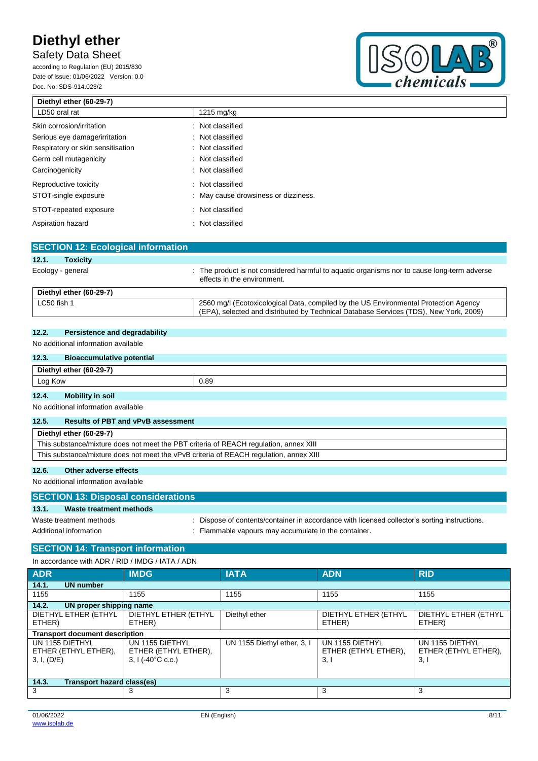## Safety Data Sheet

according to Regulation (EU) 2015/830 Date of issue: 01/06/2022 Version: 0.0 Doc. No: SDS-914.023/2



| Diethyl ether (60-29-7)           |                                      |  |
|-----------------------------------|--------------------------------------|--|
| LD50 oral rat                     | $1215 \text{ mg/kg}$                 |  |
| Skin corrosion/irritation         | : Not classified                     |  |
| Serious eye damage/irritation     | : Not classified                     |  |
| Respiratory or skin sensitisation | : Not classified                     |  |
| Germ cell mutagenicity            | : Not classified                     |  |
| Carcinogenicity                   | : Not classified                     |  |
| Reproductive toxicity             | : Not classified                     |  |
| STOT-single exposure              | : May cause drowsiness or dizziness. |  |
| STOT-repeated exposure            | : Not classified                     |  |
| Aspiration hazard                 | : Not classified                     |  |
|                                   |                                      |  |

|                   | <b>SECTION 12: Ecological information</b> |                                                                                                                                                                               |
|-------------------|-------------------------------------------|-------------------------------------------------------------------------------------------------------------------------------------------------------------------------------|
| 12.1.             | <b>Toxicity</b>                           |                                                                                                                                                                               |
| Ecology - general |                                           | : The product is not considered harmful to aquatic organisms nor to cause long-term adverse<br>effects in the environment.                                                    |
|                   | Diethyl ether (60-29-7)                   |                                                                                                                                                                               |
| LC50 fish 1       |                                           | 2560 mg/l (Ecotoxicological Data, compiled by the US Environmental Protection Agency<br>(EPA), selected and distributed by Technical Database Services (TDS), New York, 2009) |

### **12.2. Persistence and degradability**

No additional information available

#### **12.3. Bioaccumulative potential**

| 12.3.<br><b>Bioaccumulative potential</b> |      |  |
|-------------------------------------------|------|--|
| Diethyl ether (60-29-7)                   |      |  |
| Log Kow                                   | 0.89 |  |
| 12.4.<br><b>Mobility in soil</b>          |      |  |
| No additional information available       |      |  |

### **12.5. Results of PBT and vPvB assessment**

| . |                                                                                        |
|---|----------------------------------------------------------------------------------------|
|   | Diethyl ether (60-29-7)                                                                |
|   | This substance/mixture does not meet the PBT criteria of REACH regulation, annex XIII  |
|   | This substance/mixture does not meet the vPvB criteria of REACH regulation, annex XIII |
|   |                                                                                        |

## **12.6. Other adverse effects**

No additional information available

|                        | <b>SECTION 13: Disposal considerations</b> |                                                                                             |  |  |
|------------------------|--------------------------------------------|---------------------------------------------------------------------------------------------|--|--|
| 13.1.                  | Waste treatment methods                    |                                                                                             |  |  |
|                        | Waste treatment methods                    | Dispose of contents/container in accordance with licensed collector's sorting instructions. |  |  |
| Additional information |                                            | Flammable vapours may accumulate in the container.                                          |  |  |

## **SECTION 14: Transport information**

In accordance with ADR / RID / IMDG / IATA / ADN

| <b>ADR</b>                                             | <b>IMDG</b>                                                           | <b>IATA</b>                 | <b>ADN</b>                                     | <b>RID</b>                                     |
|--------------------------------------------------------|-----------------------------------------------------------------------|-----------------------------|------------------------------------------------|------------------------------------------------|
| <b>UN number</b><br>14.1.                              |                                                                       |                             |                                                |                                                |
| 1155                                                   | 1155                                                                  | 1155                        | 1155                                           | 1155                                           |
| 14.2.<br>UN proper shipping name                       |                                                                       |                             |                                                |                                                |
| DIETHYL ETHER (ETHYL<br>ETHER)                         | DIETHYL ETHER (ETHYL<br>ETHER)                                        | Diethyl ether               | DIETHYL ETHER (ETHYL<br>ETHER)                 | DIETHYL ETHER (ETHYL<br>ETHER)                 |
| <b>Transport document description</b>                  |                                                                       |                             |                                                |                                                |
| UN 1155 DIETHYL<br>ETHER (ETHYL ETHER),<br>3, I, (D/E) | UN 1155 DIETHYL<br>ETHER (ETHYL ETHER),<br>$3, 1(-40^{\circ}C \csc.)$ | UN 1155 Diethyl ether, 3, I | UN 1155 DIETHYL<br>ETHER (ETHYL ETHER),<br>3,1 | UN 1155 DIETHYL<br>ETHER (ETHYL ETHER),<br>3,1 |
| 14.3.<br>Transport hazard class(es)                    |                                                                       |                             |                                                |                                                |
| 3                                                      | 3                                                                     | 3                           | 3                                              | 3                                              |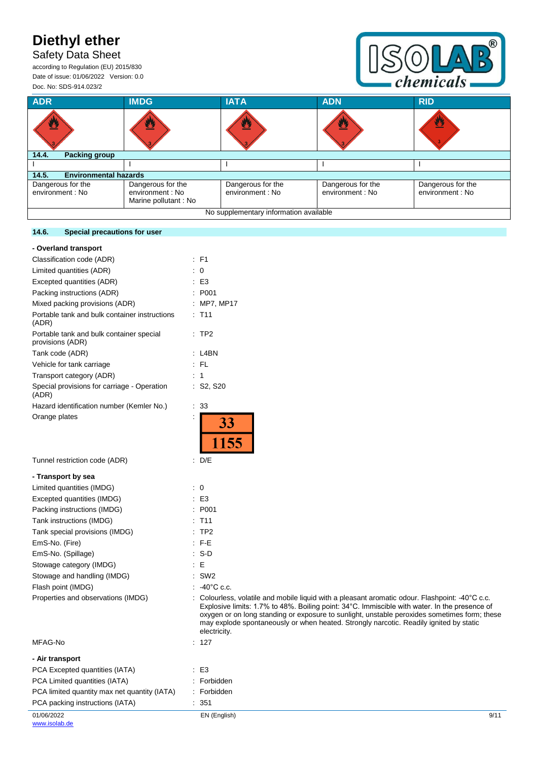## Safety Data Sheet

according to Regulation (EU) 2015/830 Date of issue: 01/06/2022 Version: 0.0 Doc. No: SDS-914.023/2



| <b>ADR</b>                             | <b>IMDG</b>                                                    | <b>IATA</b>                           | <b>ADN</b>                            | <b>RID</b>                            |
|----------------------------------------|----------------------------------------------------------------|---------------------------------------|---------------------------------------|---------------------------------------|
| ፵                                      |                                                                | ፵                                     |                                       | 舂                                     |
| 14.4.<br>Packing group                 |                                                                |                                       |                                       |                                       |
|                                        |                                                                |                                       |                                       |                                       |
| <b>Environmental hazards</b><br>14.5.  |                                                                |                                       |                                       |                                       |
| Dangerous for the<br>environment : No  | Dangerous for the<br>environment : No<br>Marine pollutant : No | Dangerous for the<br>environment : No | Dangerous for the<br>environment : No | Dangerous for the<br>environment : No |
| No supplementary information available |                                                                |                                       |                                       |                                       |

### **14.6. Special precautions for user**

| - Overland transport                                         |                                                                                                                                                                                                                                                                                                                                                                                                          |
|--------------------------------------------------------------|----------------------------------------------------------------------------------------------------------------------------------------------------------------------------------------------------------------------------------------------------------------------------------------------------------------------------------------------------------------------------------------------------------|
| Classification code (ADR)                                    | $E$ F1                                                                                                                                                                                                                                                                                                                                                                                                   |
| Limited quantities (ADR)                                     | : 0                                                                                                                                                                                                                                                                                                                                                                                                      |
| Excepted quantities (ADR)                                    | $\pm$ E3                                                                                                                                                                                                                                                                                                                                                                                                 |
| Packing instructions (ADR)                                   | : P001                                                                                                                                                                                                                                                                                                                                                                                                   |
| Mixed packing provisions (ADR)                               | : MP7, MP17                                                                                                                                                                                                                                                                                                                                                                                              |
| Portable tank and bulk container instructions<br>(ADR)       | $:$ T <sub>11</sub>                                                                                                                                                                                                                                                                                                                                                                                      |
| Portable tank and bulk container special<br>provisions (ADR) | :TP2                                                                                                                                                                                                                                                                                                                                                                                                     |
| Tank code (ADR)                                              | $:$ L4BN                                                                                                                                                                                                                                                                                                                                                                                                 |
| Vehicle for tank carriage                                    | : FL                                                                                                                                                                                                                                                                                                                                                                                                     |
| Transport category (ADR)                                     | : 1                                                                                                                                                                                                                                                                                                                                                                                                      |
| Special provisions for carriage - Operation<br>(ADR)         | : S2, S20                                                                                                                                                                                                                                                                                                                                                                                                |
| Hazard identification number (Kemler No.)                    | : 33                                                                                                                                                                                                                                                                                                                                                                                                     |
| Orange plates                                                | 33<br>1155                                                                                                                                                                                                                                                                                                                                                                                               |
| Tunnel restriction code (ADR)                                | $\therefore$ D/E                                                                                                                                                                                                                                                                                                                                                                                         |
| - Transport by sea                                           |                                                                                                                                                                                                                                                                                                                                                                                                          |
| Limited quantities (IMDG)                                    | $\therefore$ 0                                                                                                                                                                                                                                                                                                                                                                                           |
| Excepted quantities (IMDG)                                   | $\mathsf{E}3$                                                                                                                                                                                                                                                                                                                                                                                            |
| Packing instructions (IMDG)                                  | : P001                                                                                                                                                                                                                                                                                                                                                                                                   |
| Tank instructions (IMDG)                                     | $:$ T <sub>11</sub>                                                                                                                                                                                                                                                                                                                                                                                      |
| Tank special provisions (IMDG)                               | :TP2                                                                                                                                                                                                                                                                                                                                                                                                     |
| EmS-No. (Fire)                                               | $:$ F-E                                                                                                                                                                                                                                                                                                                                                                                                  |
| EmS-No. (Spillage)                                           | $: S-D$                                                                                                                                                                                                                                                                                                                                                                                                  |
| Stowage category (IMDG)                                      | E                                                                                                                                                                                                                                                                                                                                                                                                        |
| Stowage and handling (IMDG)                                  | $:$ SW2                                                                                                                                                                                                                                                                                                                                                                                                  |
| Flash point (IMDG)                                           | $-40^{\circ}$ C c.c.                                                                                                                                                                                                                                                                                                                                                                                     |
| Properties and observations (IMDG)                           | Colourless, volatile and mobile liquid with a pleasant aromatic odour. Flashpoint: -40°C c.c.<br>Explosive limits: 1.7% to 48%. Boiling point: 34°C. Immiscible with water. In the presence of<br>oxygen or on long standing or exposure to sunlight, unstable peroxides sometimes form; these<br>may explode spontaneously or when heated. Strongly narcotic. Readily ignited by static<br>electricity. |
| MFAG-No                                                      | : 127                                                                                                                                                                                                                                                                                                                                                                                                    |
| - Air transport                                              |                                                                                                                                                                                                                                                                                                                                                                                                          |
|                                                              |                                                                                                                                                                                                                                                                                                                                                                                                          |

|                                              | electricity. |      |
|----------------------------------------------|--------------|------|
| MFAG-No                                      | : 127        |      |
| - Air transport                              |              |      |
| PCA Excepted quantities (IATA)               | $\pm$ E3     |      |
| PCA Limited quantities (IATA)                | : Forbidden  |      |
| PCA limited quantity max net quantity (IATA) | : Forbidden  |      |
| PCA packing instructions (IATA)              | : 351        |      |
| 01/06/2022                                   | EN (English) | 9/11 |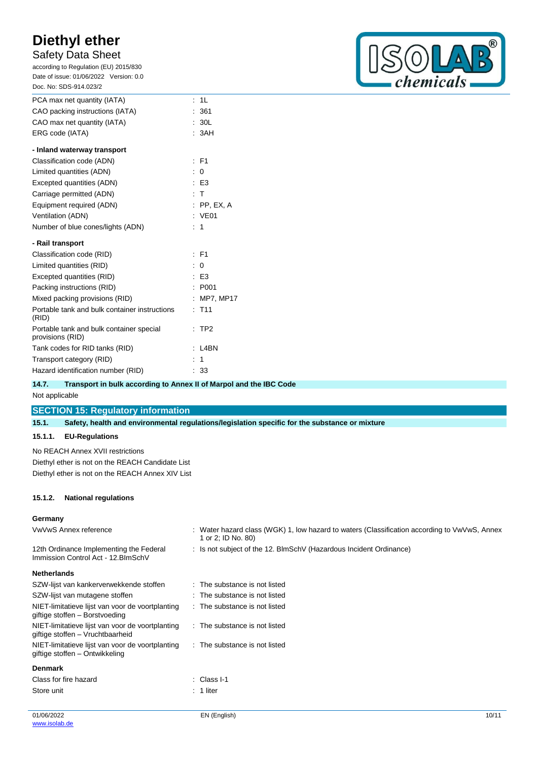## Safety Data Sheet

according to Regulation (EU) 2015/830 Date of issue: 01/06/2022 Version: 0.0 Doc. No: SDS-914.023/2

| PCA max net quantity (IATA)     | $\pm$ 11 |
|---------------------------------|----------|
| CAO packing instructions (IATA) | : 361    |
| CAO max net quantity (IATA)     | : 30L    |
| ERG code (IATA)                 | : 3AH    |

| - Inland waterway transport                                  |                    |
|--------------------------------------------------------------|--------------------|
| Classification code (ADN)                                    | $\cdot$ F1         |
| Limited quantities (ADN)                                     | : 0                |
| Excepted quantities (ADN)                                    | E3                 |
| Carriage permitted (ADN)                                     | $\cdot$ T          |
| Equipment required (ADN)                                     | $:$ PP, EX, A      |
| Ventilation (ADN)                                            | : VE01             |
| Number of blue cones/lights (ADN)                            | : 1                |
| - Rail transport                                             |                    |
| Classification code (RID)                                    | $\cdot$ F1         |
| Limited quantities (RID)                                     | 0                  |
| Excepted quantities (RID)                                    | $E$ E3             |
| Packing instructions (RID)                                   | : P <sub>001</sub> |
| Mixed packing provisions (RID)                               | <b>MP7, MP17</b>   |
| Portable tank and bulk container instructions<br>(RID)       | $:$ T11            |
| Portable tank and bulk container special<br>provisions (RID) | $:$ TP2            |
| Tank codes for RID tanks (RID)                               | L4BN               |
| Transport category (RID)                                     | 1                  |
| Hazard identification number (RID)                           | 33                 |

## $^{\circledR}$  $\bigcirc$  $\overline{D}$ chemicals

| 14.7.          | Transport in bulk according to Annex II of Marpol and the IBC Code |  |
|----------------|--------------------------------------------------------------------|--|
| Not applicable |                                                                    |  |
|                | <b>SECTION 15: Regulatory information</b>                          |  |

| 15.1 <sup>1</sup> | Safety, health and environmental regulations/legislation specific for the substance or mixture |
|-------------------|------------------------------------------------------------------------------------------------|
|                   | 15.1.1. EU-Regulations                                                                         |

No REACH Annex XVII restrictions Diethyl ether is not on the REACH Candidate List Diethyl ether is not on the REACH Annex XIV List

### **15.1.2. National regulations**

### **Germany**

| <b>O</b> UITION                                                                      |                                                                                                                    |
|--------------------------------------------------------------------------------------|--------------------------------------------------------------------------------------------------------------------|
| VwVwS Annex reference                                                                | : Water hazard class (WGK) 1, low hazard to waters (Classification according to VwVwS, Annex<br>1 or 2; ID No. 80) |
| 12th Ordinance Implementing the Federal<br>Immission Control Act - 12. BlmSchV       | : Is not subject of the 12. BlmSchV (Hazardous Incident Ordinance)                                                 |
| <b>Netherlands</b>                                                                   |                                                                                                                    |
| SZW-lijst van kankerverwekkende stoffen                                              | : The substance is not listed                                                                                      |
| SZW-lijst van mutagene stoffen                                                       | : The substance is not listed                                                                                      |
| NIET-limitatieve lijst van voor de voortplanting<br>giftige stoffen - Borstvoeding   | : The substance is not listed                                                                                      |
| NIET-limitatieve lijst van voor de voortplanting<br>giftige stoffen – Vruchtbaarheid | : The substance is not listed                                                                                      |
| NIET-limitatieve lijst van voor de voortplanting<br>giftige stoffen – Ontwikkeling   | : The substance is not listed                                                                                      |
| <b>Denmark</b>                                                                       |                                                                                                                    |
| Class for fire hazard                                                                | : Class I-1                                                                                                        |
| Store unit                                                                           | $: 1$ liter                                                                                                        |
|                                                                                      |                                                                                                                    |